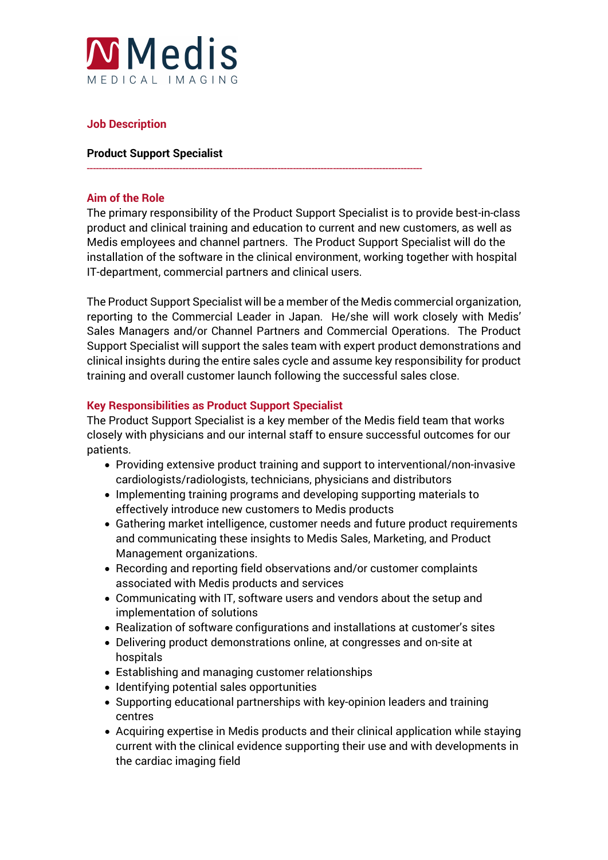

# **Job Description**

### **Product Support Specialist**

### **Aim of the Role**

The primary responsibility of the Product Support Specialist is to provide best-in-class product and clinical training and education to current and new customers, as well as Medis employees and channel partners. The Product Support Specialist will do the installation of the software in the clinical environment, working together with hospital IT-department, commercial partners and clinical users.

-------------------------------------------------------------------------------------------------------------

The Product Support Specialist will be a member of the Medis commercial organization, reporting to the Commercial Leader in Japan. He/she will work closely with Medis' Sales Managers and/or Channel Partners and Commercial Operations. The Product Support Specialist will support the sales team with expert product demonstrations and clinical insights during the entire sales cycle and assume key responsibility for product training and overall customer launch following the successful sales close.

# **Key Responsibilities as Product Support Specialist**

The Product Support Specialist is a key member of the Medis field team that works closely with physicians and our internal staff to ensure successful outcomes for our patients.

- Providing extensive product training and support to interventional/non-invasive cardiologists/radiologists, technicians, physicians and distributors
- Implementing training programs and developing supporting materials to effectively introduce new customers to Medis products
- Gathering market intelligence, customer needs and future product requirements and communicating these insights to Medis Sales, Marketing, and Product Management organizations.
- Recording and reporting field observations and/or customer complaints associated with Medis products and services
- Communicating with IT, software users and vendors about the setup and implementation of solutions
- Realization of software configurations and installations at customer's sites
- Delivering product demonstrations online, at congresses and on-site at hospitals
- Establishing and managing customer relationships
- Identifying potential sales opportunities
- Supporting educational partnerships with key-opinion leaders and training centres
- Acquiring expertise in Medis products and their clinical application while staying current with the clinical evidence supporting their use and with developments in the cardiac imaging field